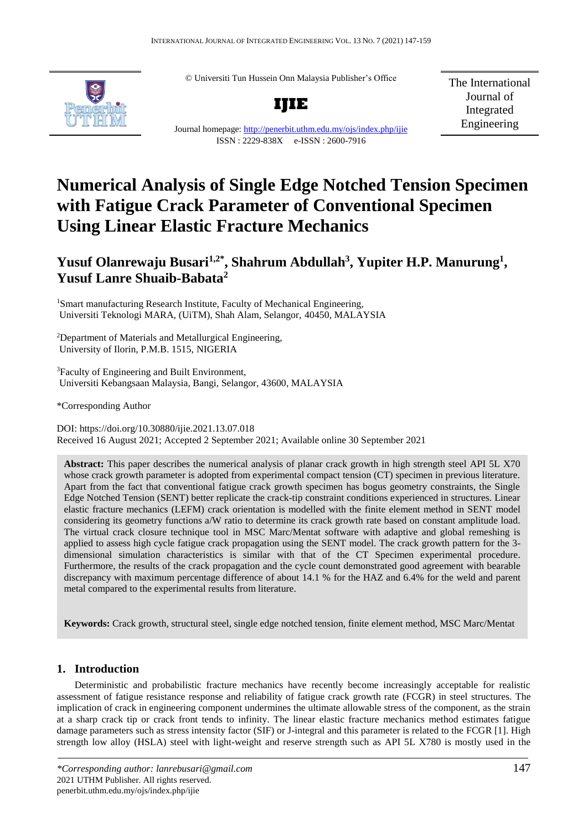© Universiti Tun Hussein Onn Malaysia Publisher's Office



Journal homepage:<http://penerbit.uthm.edu.my/ojs/index.php/ijie> ISSN : 2229-838X e-ISSN : 2600-7916

**IJIE**

The International Journal of Integrated Engineering

# **Numerical Analysis of Single Edge Notched Tension Specimen with Fatigue Crack Parameter of Conventional Specimen Using Linear Elastic Fracture Mechanics**

# **Yusuf Olanrewaju Busari1,2\* , Shahrum Abdullah<sup>3</sup> , Yupiter H.P. Manurung<sup>1</sup> , Yusuf Lanre Shuaib-Babata<sup>2</sup>**

<sup>1</sup>Smart manufacturing Research Institute, Faculty of Mechanical Engineering, Universiti Teknologi MARA, (UiTM), Shah Alam, Selangor, 40450, MALAYSIA

<sup>2</sup>Department of Materials and Metallurgical Engineering, University of Ilorin, P.M.B. 1515, NIGERIA

<sup>3</sup>Faculty of Engineering and Built Environment, Universiti Kebangsaan Malaysia, Bangi, Selangor, 43600, MALAYSIA

\*Corresponding Author

DOI: https://doi.org/10.30880/ijie.2021.13.07.018 Received 16 August 2021; Accepted 2 September 2021; Available online 30 September 2021

**Abstract:** This paper describes the numerical analysis of planar crack growth in high strength steel API 5L X70 whose crack growth parameter is adopted from experimental compact tension (CT) specimen in previous literature. Apart from the fact that conventional fatigue crack growth specimen has bogus geometry constraints, the Single Edge Notched Tension (SENT) better replicate the crack-tip constraint conditions experienced in structures. Linear elastic fracture mechanics (LEFM) crack orientation is modelled with the finite element method in SENT model considering its geometry functions a/W ratio to determine its crack growth rate based on constant amplitude load. The virtual crack closure technique tool in MSC Marc/Mentat software with adaptive and global remeshing is applied to assess high cycle fatigue crack propagation using the SENT model. The crack growth pattern for the 3 dimensional simulation characteristics is similar with that of the CT Specimen experimental procedure. Furthermore, the results of the crack propagation and the cycle count demonstrated good agreement with bearable discrepancy with maximum percentage difference of about 14.1 % for the HAZ and 6.4% for the weld and parent metal compared to the experimental results from literature.

**Keywords:** Crack growth, structural steel, single edge notched tension, finite element method, MSC Marc/Mentat

# **1. Introduction**

Deterministic and probabilistic fracture mechanics have recently become increasingly acceptable for realistic assessment of fatigue resistance response and reliability of fatigue crack growth rate (FCGR) in steel structures. The implication of crack in engineering component undermines the ultimate allowable stress of the component, as the strain at a sharp crack tip or crack front tends to infinity. The linear elastic fracture mechanics method estimates fatigue damage parameters such as stress intensity factor (SIF) or J-integral and this parameter is related to the FCGR [1]. High strength low alloy (HSLA) steel with light-weight and reserve strength such as API 5L X780 is mostly used in the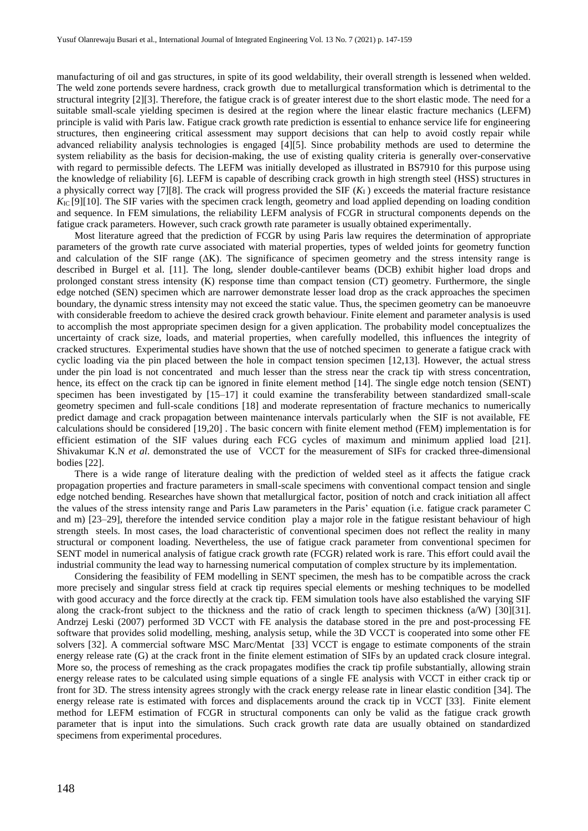manufacturing of oil and gas structures, in spite of its good weldability, their overall strength is lessened when welded. The weld zone portends severe hardness, crack growth due to metallurgical transformation which is detrimental to the structural integrity [2][3]. Therefore, the fatigue crack is of greater interest due to the short elastic mode. The need for a suitable small-scale yielding specimen is desired at the region where the linear elastic fracture mechanics (LEFM) principle is valid with Paris law. Fatigue crack growth rate prediction is essential to enhance service life for engineering structures, then engineering critical assessment may support decisions that can help to avoid costly repair while advanced reliability analysis technologies is engaged [4][5]. Since probability methods are used to determine the system reliability as the basis for decision-making, the use of existing quality criteria is generally over-conservative with regard to permissible defects. The LEFM was initially developed as illustrated in BS7910 for this purpose using the knowledge of reliability [6]. LEFM is capable of describing crack growth in high strength steel (HSS) structures in a physically correct way [7][8]. The crack will progress provided the SIF  $(K_I)$  exceeds the material fracture resistance  $K_{\text{IC}}$  [9][10]. The SIF varies with the specimen crack length, geometry and load applied depending on loading condition and sequence. In FEM simulations, the reliability LEFM analysis of FCGR in structural components depends on the fatigue crack parameters. However, such crack growth rate parameter is usually obtained experimentally.

Most literature agreed that the prediction of FCGR by using Paris law requires the determination of appropriate parameters of the growth rate curve associated with material properties, types of welded joints for geometry function and calculation of the SIF range (ΔK). The significance of specimen geometry and the stress intensity range is described in Burgel et al. [11]. The long, slender double-cantilever beams (DCB) exhibit higher load drops and prolonged constant stress intensity (K) response time than compact tension (CT) geometry. Furthermore, the single edge notched (SEN) specimen which are narrower demonstrate lesser load drop as the crack approaches the specimen boundary, the dynamic stress intensity may not exceed the static value. Thus, the specimen geometry can be manoeuvre with considerable freedom to achieve the desired crack growth behaviour. Finite element and parameter analysis is used to accomplish the most appropriate specimen design for a given application. The probability model conceptualizes the uncertainty of crack size, loads, and material properties, when carefully modelled, this influences the integrity of cracked structures. Experimental studies have shown that the use of notched specimen to generate a fatigue crack with cyclic loading via the pin placed between the hole in compact tension specimen [12,13]. However, the actual stress under the pin load is not concentrated and much lesser than the stress near the crack tip with stress concentration, hence, its effect on the crack tip can be ignored in finite element method [14]. The single edge notch tension (SENT) specimen has been investigated by [15–17] it could examine the transferability between standardized small-scale geometry specimen and full-scale conditions [18] and moderate representation of fracture mechanics to numerically predict damage and crack propagation between maintenance intervals particularly when the SIF is not available, FE calculations should be considered [19,20] . The basic concern with finite element method (FEM) implementation is for efficient estimation of the SIF values during each FCG cycles of maximum and minimum applied load [21]. Shivakumar K.N *et al*. demonstrated the use of VCCT for the measurement of SIFs for cracked three-dimensional bodies [22].

There is a wide range of literature dealing with the prediction of welded steel as it affects the fatigue crack propagation properties and fracture parameters in small-scale specimens with conventional compact tension and single edge notched bending. Researches have shown that metallurgical factor, position of notch and crack initiation all affect the values of the stress intensity range and Paris Law parameters in the Paris' equation (i.e. fatigue crack parameter C and m) [23–29], therefore the intended service condition play a major role in the fatigue resistant behaviour of high strength steels. In most cases, the load characteristic of conventional specimen does not reflect the reality in many structural or component loading. Nevertheless, the use of fatigue crack parameter from conventional specimen for SENT model in numerical analysis of fatigue crack growth rate (FCGR) related work is rare. This effort could avail the industrial community the lead way to harnessing numerical computation of complex structure by its implementation.

Considering the feasibility of FEM modelling in SENT specimen, the mesh has to be compatible across the crack more precisely and singular stress field at crack tip requires special elements or meshing techniques to be modelled with good accuracy and the force directly at the crack tip. FEM simulation tools have also established the varying SIF along the crack-front subject to the thickness and the ratio of crack length to specimen thickness (a/W) [30][31]. Andrzej Leski (2007) performed 3D VCCT with FE analysis the database stored in the pre and post-processing FE software that provides solid modelling, meshing, analysis setup, while the 3D VCCT is cooperated into some other FE solvers [32]. A commercial software MSC Marc/Mentat [33] VCCT is engage to estimate components of the strain energy release rate (G) at the crack front in the finite element estimation of SIFs by an updated crack closure integral. More so, the process of remeshing as the crack propagates modifies the crack tip profile substantially, allowing strain energy release rates to be calculated using simple equations of a single FE analysis with VCCT in either crack tip or front for 3D. The stress intensity agrees strongly with the crack energy release rate in linear elastic condition [34]. The energy release rate is estimated with forces and displacements around the crack tip in VCCT [33]. Finite element method for LEFM estimation of FCGR in structural components can only be valid as the fatigue crack growth parameter that is input into the simulations. Such crack growth rate data are usually obtained on standardized specimens from experimental procedures.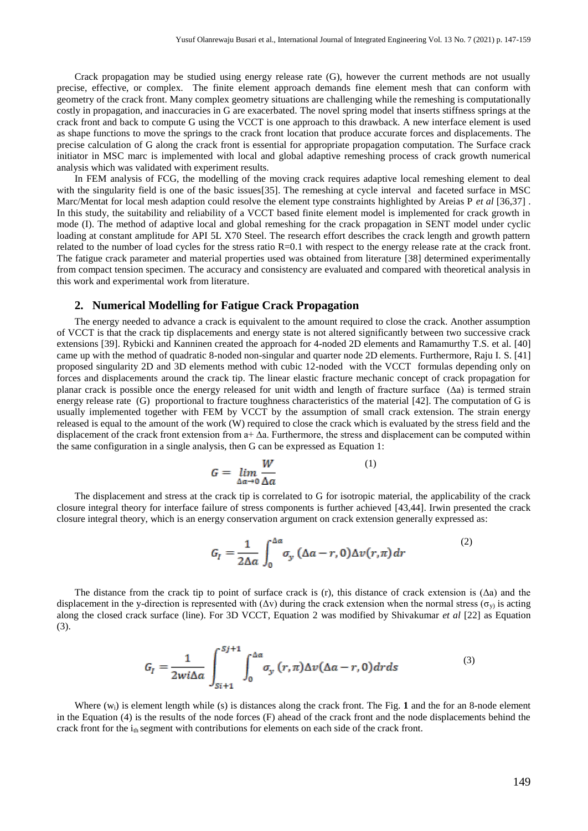Crack propagation may be studied using energy release rate (G), however the current methods are not usually precise, effective, or complex. The finite element approach demands fine element mesh that can conform with geometry of the crack front. Many complex geometry situations are challenging while the remeshing is computationally costly in propagation, and inaccuracies in G are exacerbated. The novel spring model that inserts stiffness springs at the crack front and back to compute G using the VCCT is one approach to this drawback. A new interface element is used as shape functions to move the springs to the crack front location that produce accurate forces and displacements. The precise calculation of G along the crack front is essential for appropriate propagation computation. The Surface crack initiator in MSC marc is implemented with local and global adaptive remeshing process of crack growth numerical analysis which was validated with experiment results.

In FEM analysis of FCG, the modelling of the moving crack requires adaptive local remeshing element to deal with the singularity field is one of the basic issues[35]. The remeshing at cycle interval and faceted surface in MSC Marc/Mentat for local mesh adaption could resolve the element type constraints highlighted by Areias P *et al* [36,37] . In this study, the suitability and reliability of a VCCT based finite element model is implemented for crack growth in mode (I). The method of adaptive local and global remeshing for the crack propagation in SENT model under cyclic loading at constant amplitude for API 5L X70 Steel. The research effort describes the crack length and growth pattern related to the number of load cycles for the stress ratio R=0.1 with respect to the energy release rate at the crack front. The fatigue crack parameter and material properties used was obtained from literature [38] determined experimentally from compact tension specimen. The accuracy and consistency are evaluated and compared with theoretical analysis in this work and experimental work from literature.

#### **2. Numerical Modelling for Fatigue Crack Propagation**

The energy needed to advance a crack is equivalent to the amount required to close the crack. Another assumption of VCCT is that the crack tip displacements and energy state is not altered significantly between two successive crack extensions [39]. Rybicki and Kanninen created the approach for 4-noded 2D elements and Ramamurthy T.S. et al. [40] came up with the method of quadratic 8-noded non-singular and quarter node 2D elements. Furthermore, Raju I. S. [41] proposed singularity 2D and 3D elements method with cubic 12-noded with the VCCT formulas depending only on forces and displacements around the crack tip. The linear elastic fracture mechanic concept of crack propagation for planar crack is possible once the energy released for unit width and length of fracture surface (∆a) is termed strain energy release rate (G) proportional to fracture toughness characteristics of the material [42]. The computation of G is usually implemented together with FEM by VCCT by the assumption of small crack extension. The strain energy released is equal to the amount of the work (W) required to close the crack which is evaluated by the stress field and the displacement of the crack front extension from a+ ∆a. Furthermore, the stress and displacement can be computed within the same configuration in a single analysis, then G can be expressed as Equation 1:

$$
G = \lim_{\Delta a \to 0} \frac{W}{\Delta a} \tag{1}
$$

The displacement and stress at the crack tip is correlated to G for isotropic material, the applicability of the crack closure integral theory for interface failure of stress components is further achieved [43,44]. Irwin presented the crack closure integral theory, which is an energy conservation argument on crack extension generally expressed as:

$$
G_I = \frac{1}{2\Delta a} \int_0^{\Delta a} \sigma_y \left(\Delta a - r, 0\right) \Delta v(r, \pi) \, dr \tag{2}
$$

The distance from the crack tip to point of surface crack is (r), this distance of crack extension is  $(\Delta a)$  and the displacement in the y-direction is represented with ( $\Delta v$ ) during the crack extension when the normal stress ( $\sigma_v$ ) is acting along the closed crack surface (line). For 3D VCCT, Equation 2 was modified by Shivakumar *et al* [22] as Equation (3).

$$
G_{I} = \frac{1}{2wi\Delta a} \int_{Si+1}^{Sj+1} \int_{0}^{\Delta a} \sigma_{y}(r,\pi) \Delta v(\Delta a-r,0) dr ds
$$
 (3)

Where (w<sub>i</sub>) is element length while (s) is distances along the crack front. The [Fig.](#page-3-0) 1 and the for an 8-node element in the Equation (4) is the results of the node forces (F) ahead of the crack front and the node displacements behind the crack front for the i<sub>th</sub> segment with contributions for elements on each side of the crack front.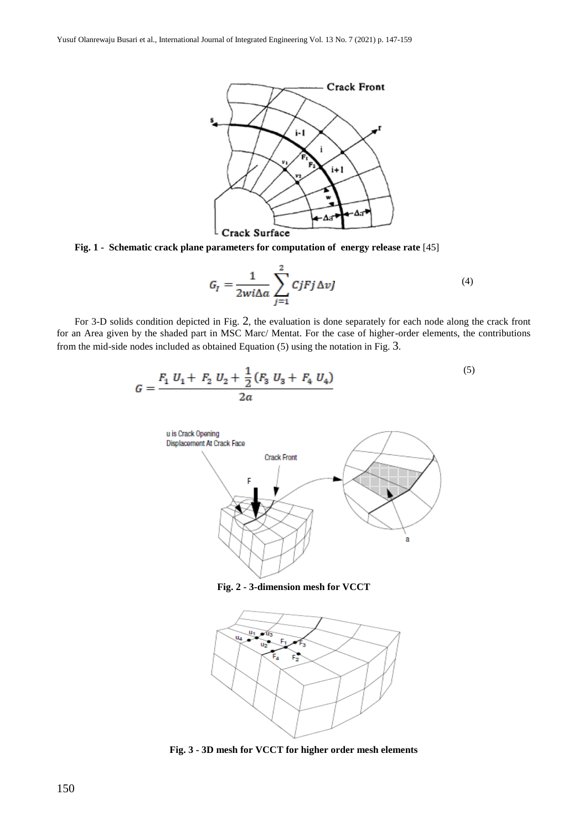

<span id="page-3-0"></span>**Fig. 1 - Schematic crack plane parameters for computation of energy release rate** [45]

$$
G_{I} = \frac{1}{2wi\Delta a} \sum_{j=1}^{2} CjFj\Delta vJ
$$
 (4)

For 3-D solids condition depicted in [Fig.](#page-3-1) 2, the evaluation is done separately for each node along the crack front for an Area given by the shaded part in MSC Marc/ Mentat. For the case of higher-order elements, the contributions from the mid-side nodes included as obtained Equation (5) using the notation in [Fig.](#page-3-2) 3.



**Fig. 2 - 3-dimension mesh for VCCT**

<span id="page-3-1"></span>

<span id="page-3-2"></span>**Fig. 3 - 3D mesh for VCCT for higher order mesh elements**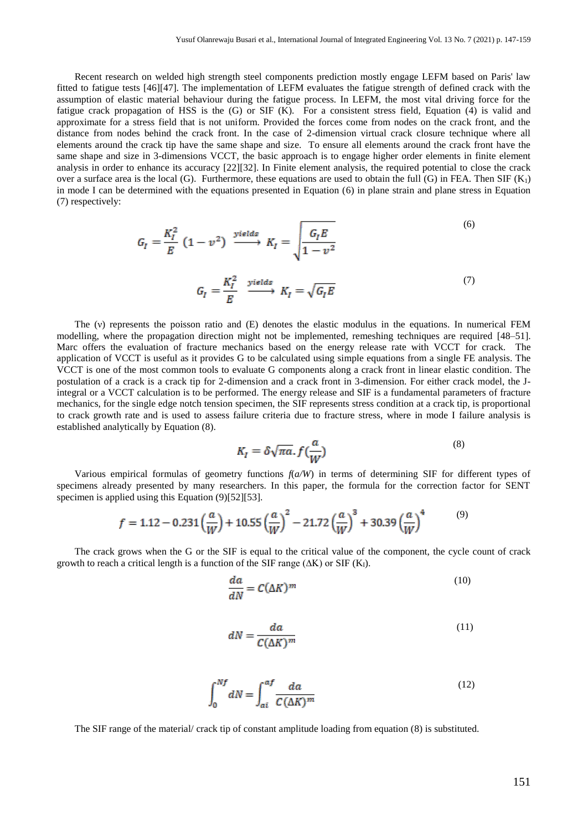Recent research on welded high strength steel components prediction mostly engage LEFM based on Paris' law fitted to fatigue tests [46][47]. The implementation of LEFM evaluates the fatigue strength of defined crack with the assumption of elastic material behaviour during the fatigue process. In LEFM, the most vital driving force for the fatigue crack propagation of HSS is the  $(G)$  or SIF  $(K)$ . For a consistent stress field, Equation  $(4)$  is valid and approximate for a stress field that is not uniform. Provided the forces come from nodes on the crack front, and the distance from nodes behind the crack front. In the case of 2-dimension virtual crack closure technique where all elements around the crack tip have the same shape and size. To ensure all elements around the crack front have the same shape and size in 3-dimensions VCCT, the basic approach is to engage higher order elements in finite element analysis in order to enhance its accuracy [22][32]. In Finite element analysis, the required potential to close the crack over a surface area is the local (G). Furthermore, these equations are used to obtain the full (G) in FEA. Then SIF  $(K_1)$ in mode I can be determined with the equations presented in Equation (6) in plane strain and plane stress in Equation (7) respectively:

$$
G_{I} = \frac{K_{I}^{2}}{E} (1 - v^{2}) \xrightarrow{yields} K_{I} = \sqrt{\frac{G_{I}E}{1 - v^{2}}}
$$
\n
$$
G_{I} = \frac{K_{I}^{2}}{E} \xrightarrow{yields} K_{I} = \sqrt{G_{I}E}
$$
\n(7)

The (v) represents the poisson ratio and (E) denotes the elastic modulus in the equations. In numerical FEM modelling, where the propagation direction might not be implemented, remeshing techniques are required [48–51]. Marc offers the evaluation of fracture mechanics based on the energy release rate with VCCT for crack. The application of VCCT is useful as it provides G to be calculated using simple equations from a single FE analysis. The VCCT is one of the most common tools to evaluate G components along a crack front in linear elastic condition. The postulation of a crack is a crack tip for 2-dimension and a crack front in 3-dimension. For either crack model, the Jintegral or a VCCT calculation is to be performed. The energy release and SIF is a fundamental parameters of fracture mechanics, for the single edge notch tension specimen, the SIF represents stress condition at a crack tip, is proportional to crack growth rate and is used to assess failure criteria due to fracture stress, where in mode I failure analysis is established analytically by Equation (8).

$$
K_I = \delta \sqrt{\pi a} \cdot f\left(\frac{a}{W}\right) \tag{8}
$$

Various empirical formulas of geometry functions *f*(*a/W*) in terms of determining SIF for different types of specimens already presented by many researchers. In this paper, the formula for the correction factor for SENT specimen is applied using this Equation (9)[52][53].

$$
f = 1.12 - 0.231 \left(\frac{a}{W}\right) + 10.55 \left(\frac{a}{W}\right)^2 - 21.72 \left(\frac{a}{W}\right)^3 + 30.39 \left(\frac{a}{W}\right)^4 \tag{9}
$$

The crack grows when the G or the SIF is equal to the critical value of the component, the cycle count of crack growth to reach a critical length is a function of the SIF range ( $\Delta K$ ) or SIF ( $K_I$ ).

$$
\frac{da}{dN} = C(\Delta K)^m \tag{10}
$$

$$
dN = \frac{da}{C(\Delta K)^m} \tag{11}
$$

$$
\int_0^{Nf} dN = \int_{ai}^{af} \frac{da}{C(\Delta K)^m} \tag{12}
$$

The SIF range of the material/ crack tip of constant amplitude loading from equation (8) is substituted.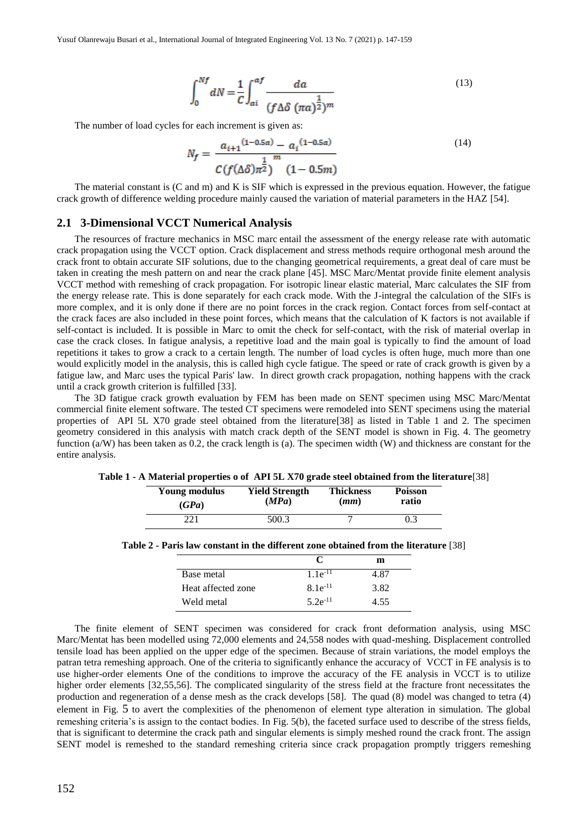$$
\int_0^{Nf} dN = \frac{1}{C} \int_{ai}^{af} \frac{da}{(f\Delta\delta \ (\pi a)^{\frac{1}{2}})^m}
$$
\n(13)

The number of load cycles for each increment is given as:

$$
N_f = \frac{a_{i+1}^{(1-0.5a)} - a_i^{(1-0.5a)}}{C(f(\Delta\delta)\pi^{\frac{1}{2}})} \tag{14}
$$

The material constant is (C and m) and K is SIF which is expressed in the previous equation. However, the fatigue crack growth of difference welding procedure mainly caused the variation of material parameters in the HAZ [54].

### **2.1 3-Dimensional VCCT Numerical Analysis**

The resources of fracture mechanics in MSC marc entail the assessment of the energy release rate with automatic crack propagation using the VCCT option. Crack displacement and stress methods require orthogonal mesh around the crack front to obtain accurate SIF solutions, due to the changing geometrical requirements, a great deal of care must be taken in creating the mesh pattern on and near the crack plane [45]. MSC Marc/Mentat provide finite element analysis VCCT method with remeshing of crack propagation. For isotropic linear elastic material, Marc calculates the SIF from the energy release rate. This is done separately for each crack mode. With the J-integral the calculation of the SIFs is more complex, and it is only done if there are no point forces in the crack region. Contact forces from self-contact at the crack faces are also included in these point forces, which means that the calculation of K factors is not available if self-contact is included. It is possible in Marc to omit the check for self-contact, with the risk of material overlap in case the crack closes. In fatigue analysis, a repetitive load and the main goal is typically to find the amount of load repetitions it takes to grow a crack to a certain length. The number of load cycles is often huge, much more than one would explicitly model in the analysis, this is called high cycle fatigue. The speed or rate of crack growth is given by a fatigue law, and Marc uses the typical Paris' law. In direct growth crack propagation, nothing happens with the crack until a crack growth criterion is fulfilled [33].

The 3D fatigue crack growth evaluation by FEM has been made on SENT specimen using MSC Marc/Mentat commercial finite element software. The tested CT specimens were remodeled into SENT specimens using the material properties of API 5L X70 grade steel obtained from the literature[38] as listed in Table 1 and 2. The specimen geometry considered in this analysis with match crack depth of the SENT model is shown in [Fig. 4.](#page-6-0) The geometry function  $(a/W)$  has been taken as 0.2, the crack length is (a). The specimen width (W) and thickness are constant for the entire analysis.

| Young modulus | <b>Yield Strength</b> | <b>Thickness</b> | <b>Poisson</b> |
|---------------|-----------------------|------------------|----------------|
| (GPa)         | (MPa)                 | (mm)             | ratio          |
| 221           | 500.3                 |                  | 0.3            |

**Table 1 - A Material properties o of API 5L X70 grade steel obtained from the literature**[38]

|                    |               | m    |
|--------------------|---------------|------|
| Base metal         | $1.1e^{-11}$  | 4 87 |
| Heat affected zone | $8.1e^{-11}$  | 3.82 |
| Weld metal         | 5 2 $e^{-11}$ | 4.55 |

The finite element of SENT specimen was considered for crack front deformation analysis, using MSC Marc/Mentat has been modelled using 72,000 elements and 24,558 nodes with quad-meshing. Displacement controlled tensile load has been applied on the upper edge of the specimen. Because of strain variations, the model employs the patran tetra remeshing approach. One of the criteria to significantly enhance the accuracy of VCCT in FE analysis is to use higher-order elements One of the conditions to improve the accuracy of the FE analysis in VCCT is to utilize higher order elements [32,55,56]. The complicated singularity of the stress field at the fracture front necessitates the production and regeneration of a dense mesh as the crack develops [58]. The quad (8) model was changed to tetra (4) element in [Fig.](#page-6-1) 5 to avert the complexities of the phenomenon of element type alteration in simulation. The global remeshing criteria's is assign to the contact bodies. In [Fig. 5\(](#page-6-1)b), the faceted surface used to describe of the stress fields, that is significant to determine the crack path and singular elements is simply meshed round the crack front. The assign SENT model is remeshed to the standard remeshing criteria since crack propagation promptly triggers remeshing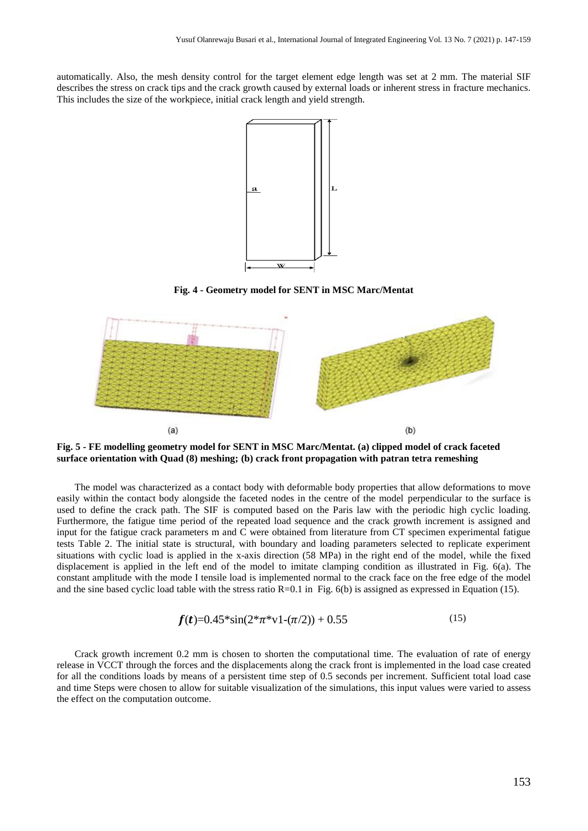automatically. Also, the mesh density control for the target element edge length was set at 2 mm. The material SIF describes the stress on crack tips and the crack growth caused by external loads or inherent stress in fracture mechanics. This includes the size of the workpiece, initial crack length and yield strength.



**Fig. 4 - Geometry model for SENT in MSC Marc/Mentat** 

<span id="page-6-0"></span>

<span id="page-6-1"></span>**Fig. 5 - FE modelling geometry model for SENT in MSC Marc/Mentat. (a) clipped model of crack faceted surface orientation with Quad (8) meshing; (b) crack front propagation with patran tetra remeshing** 

The model was characterized as a contact body with deformable body properties that allow deformations to move easily within the contact body alongside the faceted nodes in the centre of the model perpendicular to the surface is used to define the crack path. The SIF is computed based on the Paris law with the periodic high cyclic loading. Furthermore, the fatigue time period of the repeated load sequence and the crack growth increment is assigned and input for the fatigue crack parameters m and C were obtained from literature from CT specimen experimental fatigue tests Table 2. The initial state is structural, with boundary and loading parameters selected to replicate experiment situations with cyclic load is applied in the x-axis direction (58 MPa) in the right end of the model, while the fixed displacement is applied in the left end of the model to imitate clamping condition as illustrated in [Fig. 6\(](#page-7-0)a). The constant amplitude with the mode I tensile load is implemented normal to the crack face on the free edge of the model and the sine based cyclic load table with the stress ratio  $R=0.1$  in [Fig. 6\(](#page-7-0)b) is assigned as expressed in Equation (15).

$$
f(t)=0.45*\sin(2*\pi*\mathrm{v1}-(\pi/2))+0.55
$$
 (15)

Crack growth increment 0.2 mm is chosen to shorten the computational time. The evaluation of rate of energy release in VCCT through the forces and the displacements along the crack front is implemented in the load case created for all the conditions loads by means of a persistent time step of 0.5 seconds per increment. Sufficient total load case and time Steps were chosen to allow for suitable visualization of the simulations, this input values were varied to assess the effect on the computation outcome.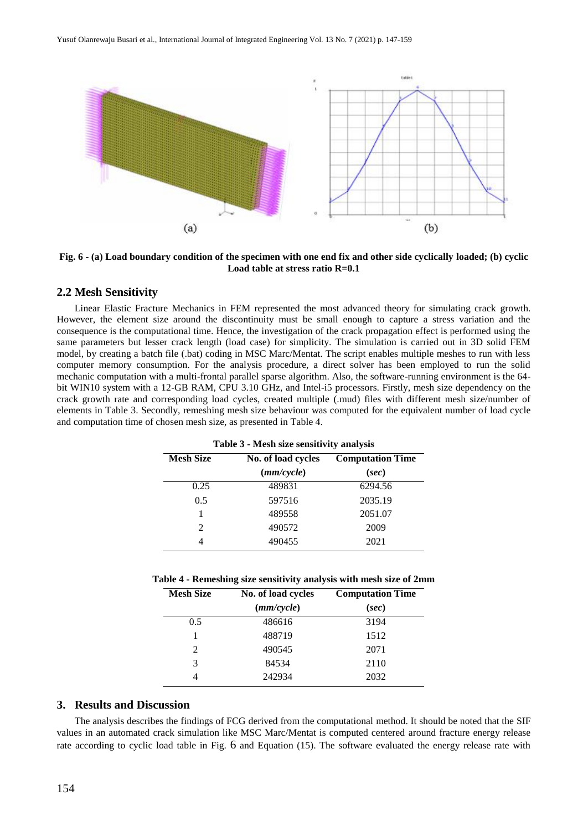

<span id="page-7-0"></span>**Fig. 6 - (a) Load boundary condition of the specimen with one end fix and other side cyclically loaded; (b) cyclic Load table at stress ratio R=0.1**

#### **2.2 Mesh Sensitivity**

Linear Elastic Fracture Mechanics in FEM represented the most advanced theory for simulating crack growth. However, the element size around the discontinuity must be small enough to capture a stress variation and the consequence is the computational time. Hence, the investigation of the crack propagation effect is performed using the same parameters but lesser crack length (load case) for simplicity. The simulation is carried out in 3D solid FEM model, by creating a batch file (.bat) coding in MSC Marc/Mentat. The script enables multiple meshes to run with less computer memory consumption. For the analysis procedure, a direct solver has been employed to run the solid mechanic computation with a multi-frontal parallel sparse algorithm. Also, the software-running environment is the 64 bit WIN10 system with a 12-GB RAM, CPU 3.10 GHz, and Intel-i5 processors. Firstly, mesh size dependency on the crack growth rate and corresponding load cycles, created multiple (.mud) files with different mesh size/number of elements in Table 3. Secondly, remeshing mesh size behaviour was computed for the equivalent number of load cycle and computation time of chosen mesh size, as presented in Table 4.

| <b>Table 5 - Mesh size sensitivity analysis</b> |                    |                         |  |
|-------------------------------------------------|--------------------|-------------------------|--|
| <b>Mesh Size</b>                                | No. of load cycles | <b>Computation Time</b> |  |
|                                                 | (mm/cycle)         | (sec)                   |  |
| 0.25                                            | 489831             | 6294.56                 |  |
| 0.5                                             | 597516             | 2035.19                 |  |
|                                                 | 489558             | 2051.07                 |  |
| $\mathcal{D}_{\mathcal{L}}$                     | 490572             | 2009                    |  |
|                                                 | 490455             | 2021                    |  |

**Table 3 - Mesh size sensitivity analysis**

**Table 4 - Remeshing size sensitivity analysis with mesh size of 2mm**

| <b>Mesh Size</b> | No. of load cycles | <b>Computation Time</b> |
|------------------|--------------------|-------------------------|
|                  | (mm/cycle)         | (sec)                   |
| 0.5              | 486616             | 3194                    |
|                  | 488719             | 1512                    |
| $\mathfrak{D}$   | 490545             | 2071                    |
| 3                | 84534              | 2110                    |
|                  | 242934             | 2032                    |

#### **3. Results and Discussion**

The analysis describes the findings of FCG derived from the computational method. It should be noted that the SIF values in an automated crack simulation like MSC Marc/Mentat is computed centered around fracture energy release rate according to cyclic load table in [Fig.](#page-7-0) 6 and Equation (15). The software evaluated the energy release rate with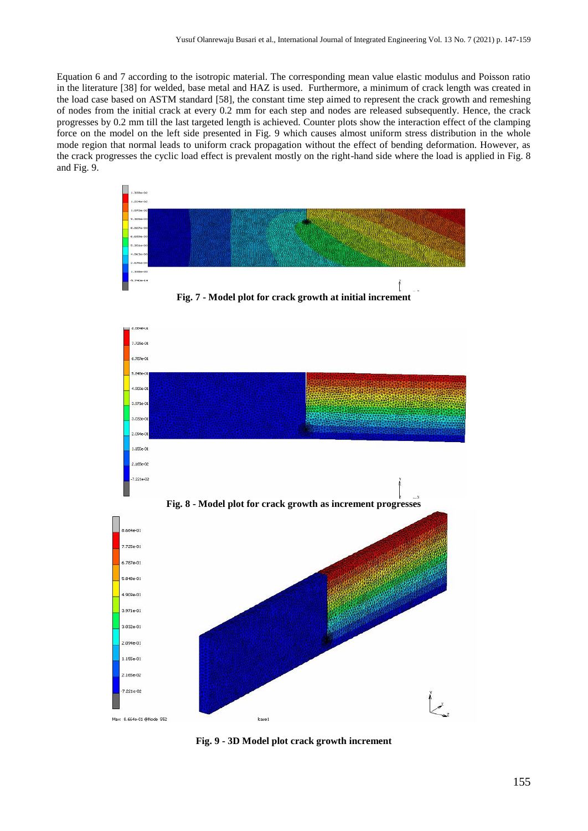Equation 6 and 7 according to the isotropic material. The corresponding mean value elastic modulus and Poisson ratio in the literature [38] for welded, base metal and HAZ is used. Furthermore, a minimum of crack length was created in the load case based on ASTM standard [58], the constant time step aimed to represent the crack growth and remeshing of nodes from the initial crack at every 0.2 mm for each step and nodes are released subsequently. Hence, the crack progresses by 0.2 mm till the last targeted length is achieved. Counter plots show the interaction effect of the clamping force on the model on the left side presented in [Fig. 9](#page-8-0) which causes almost uniform stress distribution in the whole mode region that normal leads to uniform crack propagation without the effect of bending deformation. However, as the crack progresses the cyclic load effect is prevalent mostly on the right-hand side where the load is applied in [Fig. 8](#page-8-1) and [Fig. 9.](#page-8-0)



**Fig. 7 - Model plot for crack growth at initial increment** 

<span id="page-8-1"></span>

<span id="page-8-0"></span>**Fig. 9 - 3D Model plot crack growth increment**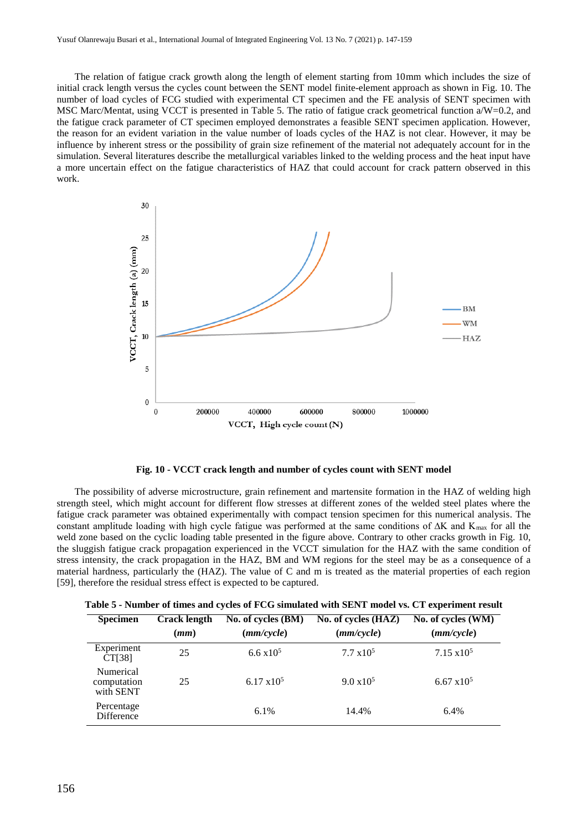The relation of fatigue crack growth along the length of element starting from 10mm which includes the size of initial crack length versus the cycles count between the SENT model finite-element approach as shown in [Fig. 10.](#page-9-0) The number of load cycles of FCG studied with experimental CT specimen and the FE analysis of SENT specimen with MSC Marc/Mentat, using VCCT is presented in Table 5. The ratio of fatigue crack geometrical function a/W=0.2, and the fatigue crack parameter of CT specimen employed demonstrates a feasible SENT specimen application. However, the reason for an evident variation in the value number of loads cycles of the HAZ is not clear. However, it may be influence by inherent stress or the possibility of grain size refinement of the material not adequately account for in the simulation. Several literatures describe the metallurgical variables linked to the welding process and the heat input have a more uncertain effect on the fatigue characteristics of HAZ that could account for crack pattern observed in this work.



**Fig. 10 - VCCT crack length and number of cycles count with SENT model**

<span id="page-9-0"></span>The possibility of adverse microstructure, grain refinement and martensite formation in the HAZ of welding high strength steel, which might account for different flow stresses at different zones of the welded steel plates where the fatigue crack parameter was obtained experimentally with compact tension specimen for this numerical analysis. The constant amplitude loading with high cycle fatigue was performed at the same conditions of ∆K and K<sub>max</sub> for all the weld zone based on the cyclic loading table presented in the figure above. Contrary to other cracks growth in [Fig. 10,](#page-9-0)  the sluggish fatigue crack propagation experienced in the VCCT simulation for the HAZ with the same condition of stress intensity, the crack propagation in the HAZ, BM and WM regions for the steel may be as a consequence of a material hardness, particularly the (HAZ). The value of C and m is treated as the material properties of each region [59], therefore the residual stress effect is expected to be captured.

| <b>Specimen</b>                       | <b>Crack length</b><br>(mm) | No. of cycles (BM)<br>(mm/cycle) | No. of cycles (HAZ)<br>(mm/cycle) | No. of cycles (WM)<br>(mm/cycle) |
|---------------------------------------|-----------------------------|----------------------------------|-----------------------------------|----------------------------------|
| Experiment<br>CT[38]                  | 25                          | 6.6 $x10^5$                      | $7.7 \times 10^5$                 | $7.15 \times 10^5$               |
| Numerical<br>computation<br>with SENT | 25                          | 6.17 $x10^5$                     | $9.0 \times 10^5$                 | $6.67 \times 10^5$               |
| Percentage<br><b>Difference</b>       |                             | 6.1%                             | 14.4%                             | 6.4%                             |

|  | Table 5 - Number of times and cycles of FCG simulated with SENT model vs. CT experiment result |  |
|--|------------------------------------------------------------------------------------------------|--|
|--|------------------------------------------------------------------------------------------------|--|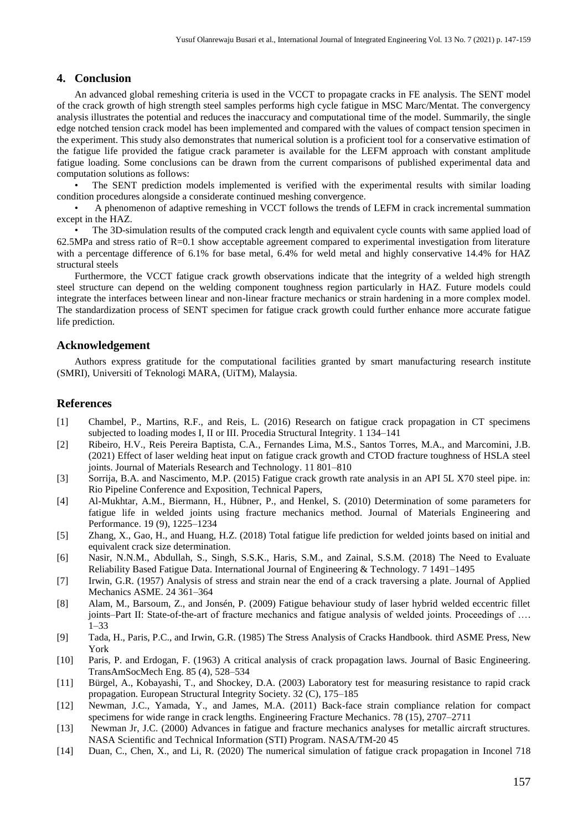## **4. Conclusion**

An advanced global remeshing criteria is used in the VCCT to propagate cracks in FE analysis. The SENT model of the crack growth of high strength steel samples performs high cycle fatigue in MSC Marc/Mentat. The convergency analysis illustrates the potential and reduces the inaccuracy and computational time of the model. Summarily, the single edge notched tension crack model has been implemented and compared with the values of compact tension specimen in the experiment. This study also demonstrates that numerical solution is a proficient tool for a conservative estimation of the fatigue life provided the fatigue crack parameter is available for the LEFM approach with constant amplitude fatigue loading. Some conclusions can be drawn from the current comparisons of published experimental data and computation solutions as follows:

• The SENT prediction models implemented is verified with the experimental results with similar loading condition procedures alongside a considerate continued meshing convergence.

• A phenomenon of adaptive remeshing in VCCT follows the trends of LEFM in crack incremental summation except in the HAZ.

• The 3D-simulation results of the computed crack length and equivalent cycle counts with same applied load of  $62.5MPa$  and stress ratio of R=0.1 show acceptable agreement compared to experimental investigation from literature with a percentage difference of 6.1% for base metal, 6.4% for weld metal and highly conservative 14.4% for HAZ structural steels

Furthermore, the VCCT fatigue crack growth observations indicate that the integrity of a welded high strength steel structure can depend on the welding component toughness region particularly in HAZ. Future models could integrate the interfaces between linear and non-linear fracture mechanics or strain hardening in a more complex model. The standardization process of SENT specimen for fatigue crack growth could further enhance more accurate fatigue life prediction.

#### **Acknowledgement**

Authors express gratitude for the computational facilities granted by smart manufacturing research institute (SMRI), Universiti of Teknologi MARA, (UiTM), Malaysia.

#### **References**

- [1] Chambel, P., Martins, R.F., and Reis, L. (2016) Research on fatigue crack propagation in CT specimens subjected to loading modes I, II or III. Procedia Structural Integrity. 1 134–141
- [2] Ribeiro, H.V., Reis Pereira Baptista, C.A., Fernandes Lima, M.S., Santos Torres, M.A., and Marcomini, J.B. (2021) Effect of laser welding heat input on fatigue crack growth and CTOD fracture toughness of HSLA steel joints. Journal of Materials Research and Technology. 11 801–810
- [3] Sorrija, B.A. and Nascimento, M.P. (2015) Fatigue crack growth rate analysis in an API 5L X70 steel pipe. in: Rio Pipeline Conference and Exposition, Technical Papers,
- [4] Al-Mukhtar, A.M., Biermann, H., Hübner, P., and Henkel, S. (2010) Determination of some parameters for fatigue life in welded joints using fracture mechanics method. Journal of Materials Engineering and Performance. 19 (9), 1225–1234
- [5] Zhang, X., Gao, H., and Huang, H.Z. (2018) Total fatigue life prediction for welded joints based on initial and equivalent crack size determination.
- [6] Nasir, N.N.M., Abdullah, S., Singh, S.S.K., Haris, S.M., and Zainal, S.S.M. (2018) The Need to Evaluate Reliability Based Fatigue Data. International Journal of Engineering & Technology. 7 1491–1495
- [7] Irwin, G.R. (1957) Analysis of stress and strain near the end of a crack traversing a plate. Journal of Applied Mechanics ASME. 24 361–364
- [8] Alam, M., Barsoum, Z., and Jonsén, P. (2009) Fatigue behaviour study of laser hybrid welded eccentric fillet joints–Part II: State-of-the-art of fracture mechanics and fatigue analysis of welded joints. Proceedings of …. 1–33
- [9] Tada, H., Paris, P.C., and Irwin, G.R. (1985) The Stress Analysis of Cracks Handbook. third ASME Press, New York
- [10] Paris, P. and Erdogan, F. (1963) A critical analysis of crack propagation laws. Journal of Basic Engineering. TransAmSocMech Eng. 85 (4), 528–534
- [11] Bürgel, A., Kobayashi, T., and Shockey, D.A. (2003) Laboratory test for measuring resistance to rapid crack propagation. European Structural Integrity Society. 32 (C), 175–185
- [12] Newman, J.C., Yamada, Y., and James, M.A. (2011) Back-face strain compliance relation for compact specimens for wide range in crack lengths. Engineering Fracture Mechanics. 78 (15), 2707–2711
- [13] Newman Jr, J.C. (2000) Advances in fatigue and fracture mechanics analyses for metallic aircraft structures. NASA Scientific and Technical Information (STI) Program. NASA/TM-20 45
- [14] Duan, C., Chen, X., and Li, R. (2020) The numerical simulation of fatigue crack propagation in Inconel 718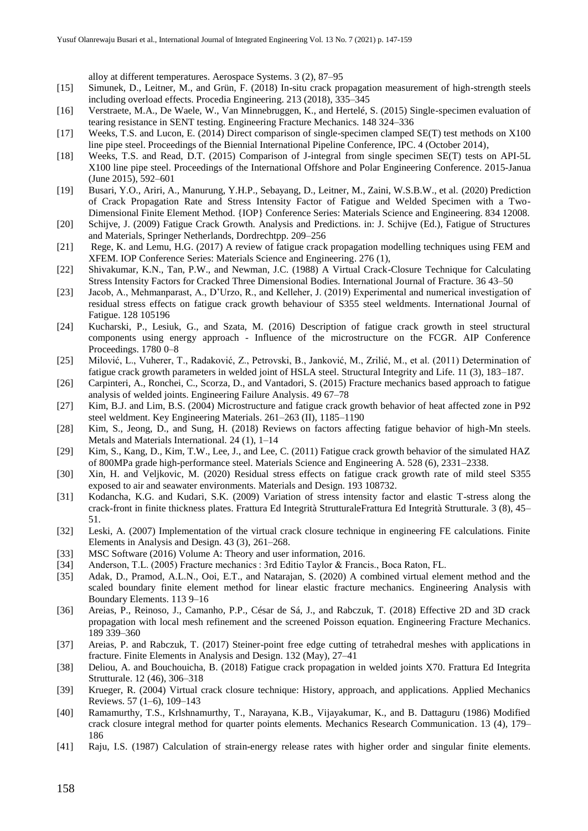alloy at different temperatures. Aerospace Systems. 3 (2), 87–95

- [15] Simunek, D., Leitner, M., and Grün, F. (2018) In-situ crack propagation measurement of high-strength steels including overload effects. Procedia Engineering. 213 (2018), 335–345
- [16] Verstraete, M.A., De Waele, W., Van Minnebruggen, K., and Hertelé, S. (2015) Single-specimen evaluation of tearing resistance in SENT testing. Engineering Fracture Mechanics. 148 324–336
- [17] Weeks, T.S. and Lucon, E. (2014) Direct comparison of single-specimen clamped SE(T) test methods on X100 line pipe steel. Proceedings of the Biennial International Pipeline Conference, IPC. 4 (October 2014),
- [18] Weeks, T.S. and Read, D.T. (2015) Comparison of J-integral from single specimen SE(T) tests on API-5L X100 line pipe steel. Proceedings of the International Offshore and Polar Engineering Conference. 2015-Janua (June 2015), 592–601
- [19] Busari, Y.O., Ariri, A., Manurung, Y.H.P., Sebayang, D., Leitner, M., Zaini, W.S.B.W., et al. (2020) Prediction of Crack Propagation Rate and Stress Intensity Factor of Fatigue and Welded Specimen with a Two-Dimensional Finite Element Method. {IOP} Conference Series: Materials Science and Engineering. 834 12008.
- [20] Schijve, J. (2009) Fatigue Crack Growth. Analysis and Predictions. in: J. Schijve (Ed.), Fatigue of Structures and Materials, Springer Netherlands, Dordrechtpp. 209–256
- [21] Rege, K. and Lemu, H.G. (2017) A review of fatigue crack propagation modelling techniques using FEM and XFEM. IOP Conference Series: Materials Science and Engineering. 276 (1),
- [22] Shivakumar, K.N., Tan, P.W., and Newman, J.C. (1988) A Virtual Crack-Closure Technique for Calculating Stress Intensity Factors for Cracked Three Dimensional Bodies. International Journal of Fracture. 36 43–50
- [23] Jacob, A., Mehmanparast, A., D'Urzo, R., and Kelleher, J. (2019) Experimental and numerical investigation of residual stress effects on fatigue crack growth behaviour of S355 steel weldments. International Journal of Fatigue. 128 105196
- [24] Kucharski, P., Lesiuk, G., and Szata, M. (2016) Description of fatigue crack growth in steel structural components using energy approach - Influence of the microstructure on the FCGR. AIP Conference Proceedings. 1780 0–8
- [25] Milović, L., Vuherer, T., Radaković, Z., Petrovski, B., Janković, M., Zrilić, M., et al. (2011) Determination of fatigue crack growth parameters in welded joint of HSLA steel. Structural Integrity and Life. 11 (3), 183–187.
- [26] Carpinteri, A., Ronchei, C., Scorza, D., and Vantadori, S. (2015) Fracture mechanics based approach to fatigue analysis of welded joints. Engineering Failure Analysis. 49 67–78
- [27] Kim, B.J. and Lim, B.S. (2004) Microstructure and fatigue crack growth behavior of heat affected zone in P92 steel weldment. Key Engineering Materials. 261–263 (II), 1185–1190
- [28] Kim, S., Jeong, D., and Sung, H. (2018) Reviews on factors affecting fatigue behavior of high-Mn steels. Metals and Materials International. 24 (1), 1–14
- [29] Kim, S., Kang, D., Kim, T.W., Lee, J., and Lee, C. (2011) Fatigue crack growth behavior of the simulated HAZ of 800MPa grade high-performance steel. Materials Science and Engineering A. 528 (6), 2331–2338.
- [30] Xin, H. and Veljkovic, M. (2020) Residual stress effects on fatigue crack growth rate of mild steel S355 exposed to air and seawater environments. Materials and Design. 193 108732.
- [31] Kodancha, K.G. and Kudari, S.K. (2009) Variation of stress intensity factor and elastic T-stress along the crack-front in finite thickness plates. Frattura Ed Integrità StrutturaleFrattura Ed Integrità Strutturale. 3 (8), 45– 51.
- [32] Leski, A. (2007) Implementation of the virtual crack closure technique in engineering FE calculations. Finite Elements in Analysis and Design. 43 (3), 261–268.
- [33] MSC Software (2016) Volume A: Theory and user information, 2016.
- [34] Anderson, T.L. (2005) Fracture mechanics : 3rd Editio Taylor & Francis., Boca Raton, FL.
- [35] Adak, D., Pramod, A.L.N., Ooi, E.T., and Natarajan, S. (2020) A combined virtual element method and the scaled boundary finite element method for linear elastic fracture mechanics. Engineering Analysis with Boundary Elements. 113 9–16
- [36] Areias, P., Reinoso, J., Camanho, P.P., César de Sá, J., and Rabczuk, T. (2018) Effective 2D and 3D crack propagation with local mesh refinement and the screened Poisson equation. Engineering Fracture Mechanics. 189 339–360
- [37] Areias, P. and Rabczuk, T. (2017) Steiner-point free edge cutting of tetrahedral meshes with applications in fracture. Finite Elements in Analysis and Design. 132 (May), 27–41
- [38] Deliou, A. and Bouchouicha, B. (2018) Fatigue crack propagation in welded joints X70. Frattura Ed Integrita Strutturale. 12 (46), 306–318
- [39] Krueger, R. (2004) Virtual crack closure technique: History, approach, and applications. Applied Mechanics Reviews. 57 (1–6), 109–143
- [40] Ramamurthy, T.S., Krlshnamurthy, T., Narayana, K.B., Vijayakumar, K., and B. Dattaguru (1986) Modified crack closure integral method for quarter points elements. Mechanics Research Communication. 13 (4), 179– 186
- [41] Raju, I.S. (1987) Calculation of strain-energy release rates with higher order and singular finite elements.